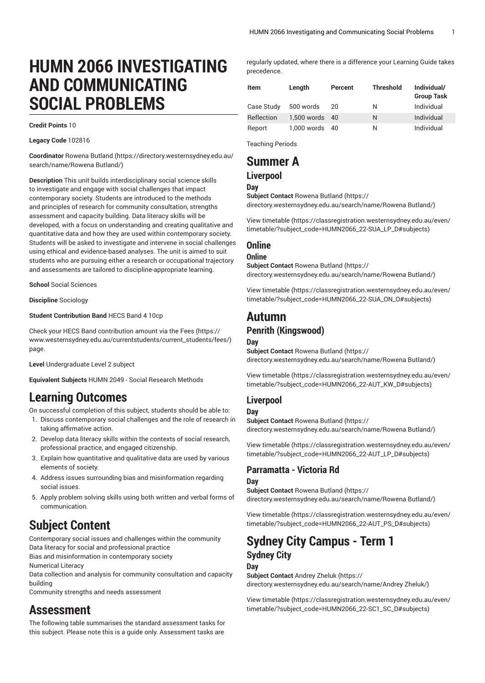# **HUMN 2066 INVESTIGATING AND COMMUNICATING SOCIAL PROBLEMS**

#### **Credit Points** 10

#### **Legacy Code** 102816

**Coordinator** [Rowena Butland](https://directory.westernsydney.edu.au/search/name/Rowena Butland/) [\(https://directory.westernsydney.edu.au/](https://directory.westernsydney.edu.au/search/name/Rowena Butland/) [search/name/Rowena](https://directory.westernsydney.edu.au/search/name/Rowena Butland/) Butland/)

**Description** This unit builds interdisciplinary social science skills to investigate and engage with social challenges that impact contemporary society. Students are introduced to the methods and principles of research for community consultation, strengths assessment and capacity building. Data literacy skills will be developed, with a focus on understanding and creating qualitative and quantitative data and how they are used within contemporary society. Students will be asked to investigate and intervene in social challenges using ethical and evidence-based analyses. The unit is aimed to suit students who are pursuing either a research or occupational trajectory and assessments are tailored to discipline-appropriate learning.

**School** Social Sciences

#### **Discipline** Sociology

**Student Contribution Band** HECS Band 4 10cp

Check your HECS Band contribution amount via the [Fees \(https://](https://www.westernsydney.edu.au/currentstudents/current_students/fees/) [www.westernsydney.edu.au/currentstudents/current\\_students/fees/\)](https://www.westernsydney.edu.au/currentstudents/current_students/fees/) page.

**Level** Undergraduate Level 2 subject

**Equivalent Subjects** HUMN 2049 - Social Research Methods

## **Learning Outcomes**

On successful completion of this subject, students should be able to:

- 1. Discuss contemporary social challenges and the role of research in taking affirmative action.
- 2. Develop data literacy skills within the contexts of social research, professional practice, and engaged citizenship.
- 3. Explain how quantitative and qualitative data are used by various elements of society.
- 4. Address issues surrounding bias and misinformation regarding social issues.
- 5. Apply problem solving skills using both written and verbal forms of communication.

# **Subject Content**

Contemporary social issues and challenges within the community Data literacy for social and professional practice

Bias and misinformation in contemporary society

Numerical Literacy

Data collection and analysis for community consultation and capacity building

Community strengths and needs assessment

## **Assessment**

The following table summarises the standard assessment tasks for this subject. Please note this is a guide only. Assessment tasks are

regularly updated, where there is a difference your Learning Guide takes precedence.

| <b>Item</b> | Length         | Percent | <b>Threshold</b> | Individual/<br><b>Group Task</b> |
|-------------|----------------|---------|------------------|----------------------------------|
| Case Study  | 500 words      | 20      | Ν                | Individual                       |
| Reflection  | 1.500 words 40 |         | N                | Individual                       |
| Report      | 1,000 words 40 |         | Ν                | Individual                       |

Teaching Periods

## **Summer A Liverpool**

## **Day**

**Subject Contact** [Rowena Butland \(https://](https://directory.westernsydney.edu.au/search/name/Rowena Butland/)

[directory.westernsydney.edu.au/search/name/Rowena](https://directory.westernsydney.edu.au/search/name/Rowena Butland/) Butland/)

[View timetable](https://classregistration.westernsydney.edu.au/even/timetable/?subject_code=HUMN2066_22-SUA_LP_D#subjects) [\(https://classregistration.westernsydney.edu.au/even/](https://classregistration.westernsydney.edu.au/even/timetable/?subject_code=HUMN2066_22-SUA_LP_D#subjects) [timetable/?subject\\_code=HUMN2066\\_22-SUA\\_LP\\_D#subjects](https://classregistration.westernsydney.edu.au/even/timetable/?subject_code=HUMN2066_22-SUA_LP_D#subjects))

## **Online**

#### **Online**

**Subject Contact** [Rowena Butland \(https://](https://directory.westernsydney.edu.au/search/name/Rowena Butland/) [directory.westernsydney.edu.au/search/name/Rowena](https://directory.westernsydney.edu.au/search/name/Rowena Butland/) Butland/)

[View timetable](https://classregistration.westernsydney.edu.au/even/timetable/?subject_code=HUMN2066_22-SUA_ON_O#subjects) [\(https://classregistration.westernsydney.edu.au/even/](https://classregistration.westernsydney.edu.au/even/timetable/?subject_code=HUMN2066_22-SUA_ON_O#subjects) [timetable/?subject\\_code=HUMN2066\\_22-SUA\\_ON\\_O#subjects](https://classregistration.westernsydney.edu.au/even/timetable/?subject_code=HUMN2066_22-SUA_ON_O#subjects))

## **Autumn**

## **Penrith (Kingswood)**

#### **Day**

**Subject Contact** [Rowena Butland \(https://](https://directory.westernsydney.edu.au/search/name/Rowena Butland/) [directory.westernsydney.edu.au/search/name/Rowena](https://directory.westernsydney.edu.au/search/name/Rowena Butland/) Butland/)

[View timetable](https://classregistration.westernsydney.edu.au/even/timetable/?subject_code=HUMN2066_22-AUT_KW_D#subjects) [\(https://classregistration.westernsydney.edu.au/even/](https://classregistration.westernsydney.edu.au/even/timetable/?subject_code=HUMN2066_22-AUT_KW_D#subjects) [timetable/?subject\\_code=HUMN2066\\_22-AUT\\_KW\\_D#subjects\)](https://classregistration.westernsydney.edu.au/even/timetable/?subject_code=HUMN2066_22-AUT_KW_D#subjects)

## **Liverpool**

#### **Day**

**Subject Contact** [Rowena Butland \(https://](https://directory.westernsydney.edu.au/search/name/Rowena Butland/) [directory.westernsydney.edu.au/search/name/Rowena](https://directory.westernsydney.edu.au/search/name/Rowena Butland/) Butland/)

[View timetable](https://classregistration.westernsydney.edu.au/even/timetable/?subject_code=HUMN2066_22-AUT_LP_D#subjects) [\(https://classregistration.westernsydney.edu.au/even/](https://classregistration.westernsydney.edu.au/even/timetable/?subject_code=HUMN2066_22-AUT_LP_D#subjects) [timetable/?subject\\_code=HUMN2066\\_22-AUT\\_LP\\_D#subjects](https://classregistration.westernsydney.edu.au/even/timetable/?subject_code=HUMN2066_22-AUT_LP_D#subjects))

## **Parramatta - Victoria Rd Day**

**Subject Contact** [Rowena Butland \(https://](https://directory.westernsydney.edu.au/search/name/Rowena Butland/) [directory.westernsydney.edu.au/search/name/Rowena](https://directory.westernsydney.edu.au/search/name/Rowena Butland/) Butland/)

[View timetable](https://classregistration.westernsydney.edu.au/even/timetable/?subject_code=HUMN2066_22-AUT_PS_D#subjects) [\(https://classregistration.westernsydney.edu.au/even/](https://classregistration.westernsydney.edu.au/even/timetable/?subject_code=HUMN2066_22-AUT_PS_D#subjects) [timetable/?subject\\_code=HUMN2066\\_22-AUT\\_PS\\_D#subjects\)](https://classregistration.westernsydney.edu.au/even/timetable/?subject_code=HUMN2066_22-AUT_PS_D#subjects)

## **Sydney City Campus - Term 1 Sydney City**

#### **Day**

**Subject Contact** [Andrey](https://directory.westernsydney.edu.au/search/name/Andrey Zheluk/) Zheluk ([https://](https://directory.westernsydney.edu.au/search/name/Andrey Zheluk/) [directory.westernsydney.edu.au/search/name/Andrey](https://directory.westernsydney.edu.au/search/name/Andrey Zheluk/) Zheluk/)

[View timetable](https://classregistration.westernsydney.edu.au/even/timetable/?subject_code=HUMN2066_22-SC1_SC_D#subjects) [\(https://classregistration.westernsydney.edu.au/even/](https://classregistration.westernsydney.edu.au/even/timetable/?subject_code=HUMN2066_22-SC1_SC_D#subjects) [timetable/?subject\\_code=HUMN2066\\_22-SC1\\_SC\\_D#subjects\)](https://classregistration.westernsydney.edu.au/even/timetable/?subject_code=HUMN2066_22-SC1_SC_D#subjects)